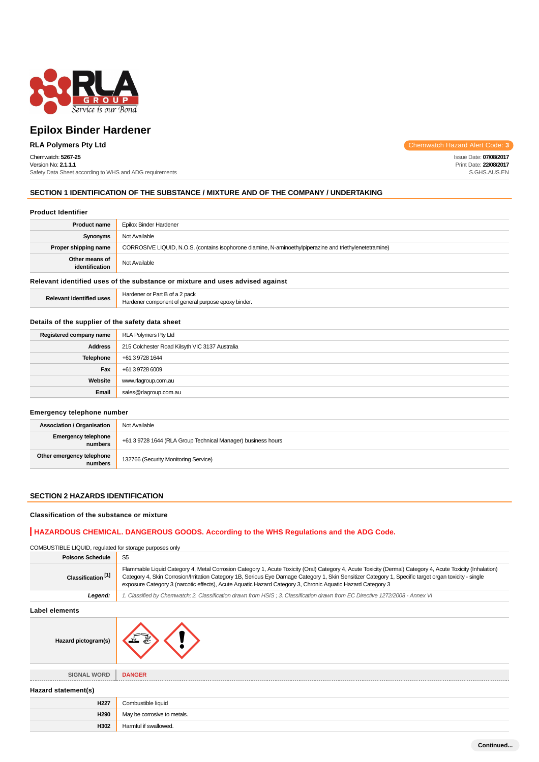

## Chemwatch: **5267-25**

Version No: **2.1.1.1** Safety Data Sheet according to WHS and ADG requirements

**RLA Polymers Pty Ltd** Chemwatch Hazard Alert Code: **3** 

Issue Date: **07/08/2017** Print Date: **22/08/2017** S.GHS.AUS.EN

## **SECTION 1 IDENTIFICATION OF THE SUBSTANCE / MIXTURE AND OF THE COMPANY / UNDERTAKING**

#### **Product Identifier**

| <b>Product name</b>                                                           | Epilox Binder Hardener                                                                                  |  |
|-------------------------------------------------------------------------------|---------------------------------------------------------------------------------------------------------|--|
| Synonyms                                                                      | Not Available                                                                                           |  |
| Proper shipping name                                                          | CORROSIVE LIQUID, N.O.S. (contains isophorone diamine, N-aminoethylpiperazine and triethylenetetramine) |  |
| Other means of<br>identification                                              | Not Available                                                                                           |  |
| Relevant identified uses of the substance or mixture and uses advised against |                                                                                                         |  |
| <b>Relevant identified uses</b>                                               | Hardener or Part B of a 2 pack<br>Hardener component of general purpose epoxy binder.                   |  |

### **Details of the supplier of the safety data sheet**

| Registered company name | RLA Polymers Pty Ltd                           |
|-------------------------|------------------------------------------------|
| <b>Address</b>          | 215 Colchester Road Kilsyth VIC 3137 Australia |
| Telephone               | +61 3 9728 1644                                |
| Fax                     | +61 3 9728 6009                                |
| Website                 | www.rlagroup.com.au                            |
| Email                   | sales@rlagroup.com.au                          |

## **Emergency telephone number**

| <b>Association / Organisation</b>    | Not Available                                                |
|--------------------------------------|--------------------------------------------------------------|
| Emergency telephone<br>numbers       | +61 3 9728 1644 (RLA Group Technical Manager) business hours |
| Other emergency telephone<br>numbers | 132766 (Security Monitoring Service)                         |

### **SECTION 2 HAZARDS IDENTIFICATION**

#### **Classification of the substance or mixture**

## **HAZARDOUS CHEMICAL. DANGEROUS GOODS. According to the WHS Regulations and the ADG Code.**

COMBUSTIBLE LIQUID, regulated for storage purposes only

| <b>Poisons Schedule</b>       |                                                                                                                                                                                                                                                                                                                                                                                                                                   |  |
|-------------------------------|-----------------------------------------------------------------------------------------------------------------------------------------------------------------------------------------------------------------------------------------------------------------------------------------------------------------------------------------------------------------------------------------------------------------------------------|--|
| Classification <sup>[1]</sup> | Flammable Liquid Category 4, Metal Corrosion Category 1, Acute Toxicity (Oral) Category 4, Acute Toxicity (Dermal) Category 4, Acute Toxicity (Inhalation)<br>Category 4, Skin Corrosion/Irritation Category 1B, Serious Eye Damage Category 1, Skin Sensitizer Category 1, Specific target organ toxicity - single<br>exposure Category 3 (narcotic effects), Acute Aquatic Hazard Category 3, Chronic Aquatic Hazard Category 3 |  |
| Leaend:                       | 1. Classified by Chemwatch; 2. Classification drawn from HSIS; 3. Classification drawn from EC Directive 1272/2008 - Annex VI                                                                                                                                                                                                                                                                                                     |  |

## **Label elements**

| <b>LANGI CIGILIGIILS</b> |                             |
|--------------------------|-----------------------------|
| Hazard pictogram(s)      | 赢                           |
|                          |                             |
| <b>SIGNAL WORD</b>       | <b>DANGER</b>               |
|                          |                             |
| Hazard statement(s)      |                             |
| H <sub>227</sub>         | Combustible liquid          |
| H290                     | May be corrosive to metals. |
| H302                     | Harmful if swallowed.       |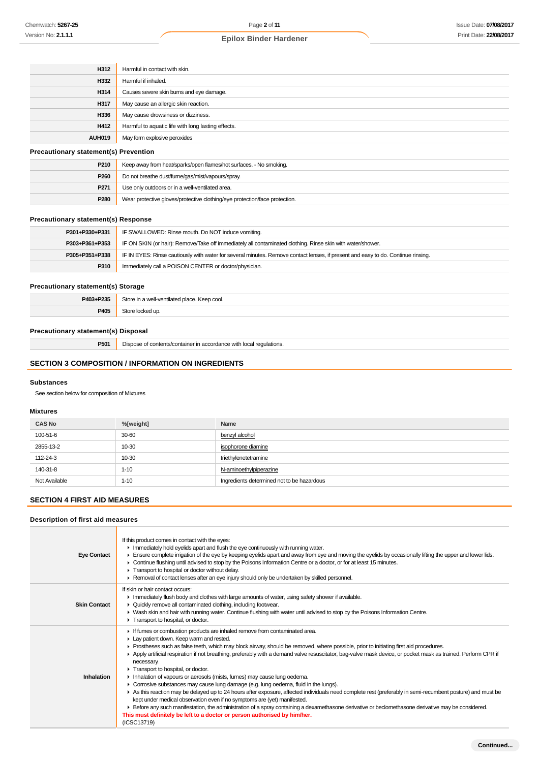| H312                                         | Harmful in contact with skin.                      |
|----------------------------------------------|----------------------------------------------------|
| H332                                         | Harmful if inhaled.                                |
| H314                                         | Causes severe skin burns and eye damage.           |
| H317                                         | May cause an allergic skin reaction.               |
| H336                                         | May cause drowsiness or dizziness.                 |
| H412                                         | Harmful to aquatic life with long lasting effects. |
| <b>AUH019</b>                                | May form explosive peroxides                       |
| <b>Precautionary statement(s) Prevention</b> |                                                    |

| P210             | Keep away from heat/sparks/open flames/hot surfaces. - No smoking.         |
|------------------|----------------------------------------------------------------------------|
| P <sub>260</sub> | Do not breathe dust/fume/gas/mist/vapours/spray.                           |
| P <sub>271</sub> | Use only outdoors or in a well-ventilated area.                            |
| P280             | Wear protective gloves/protective clothing/eye protection/face protection. |

## **Precautionary statement(s) Response**

| P301+P330+P331 | IF SWALLOWED: Rinse mouth. Do NOT induce vomiting.                                                                               |  |
|----------------|----------------------------------------------------------------------------------------------------------------------------------|--|
| P303+P361+P353 | IF ON SKIN (or hair): Remove/Take off immediately all contaminated clothing. Rinse skin with water/shower.                       |  |
| P305+P351+P338 | IF IN EYES: Rinse cautiously with water for several minutes. Remove contact lenses, if present and easy to do. Continue rinsing. |  |
| P310           | Immediately call a POISON CENTER or doctor/physician.                                                                            |  |

## **Precautionary statement(s) Storage**

| P403+P235 | Store<br>l-ventilated place<br>. Keep cool.<br>$\sim$ $\Omega$ $\Omega$<br>, wenn<br>. |
|-----------|----------------------------------------------------------------------------------------|
|           | ⊰tor                                                                                   |
| P405      | d ⊔r                                                                                   |

## **Precautionary statement(s) Disposal**

**P501** Dispose of contents/container in accordance with local regulations.

## **SECTION 3 COMPOSITION / INFORMATION ON INGREDIENTS**

#### **Substances**

See section below for composition of Mixtures

## **Mixtures**

| <b>CAS No</b> | %[weight] | Name                                       |
|---------------|-----------|--------------------------------------------|
| 100-51-6      | 30-60     | benzyl alcohol                             |
| 2855-13-2     | 10-30     | isophorone diamine                         |
| 112-24-3      | 10-30     | triethylenetetramine                       |
| 140-31-8      | $1 - 10$  | N-aminoethylpiperazine                     |
| Not Available | $1 - 10$  | Ingredients determined not to be hazardous |

## **SECTION 4 FIRST AID MEASURES**

T

## **Description of first aid measures**

| <b>Eye Contact</b>  | If this product comes in contact with the eyes:<br>Inmediately hold eyelids apart and flush the eye continuously with running water.<br>Ensure complete irrigation of the eye by keeping eyelids apart and away from eye and moving the eyelids by occasionally lifting the upper and lower lids.<br>► Continue flushing until advised to stop by the Poisons Information Centre or a doctor, or for at least 15 minutes.<br>Transport to hospital or doctor without delay.<br>► Removal of contact lenses after an eye injury should only be undertaken by skilled personnel.                                                                                                                                                                                                                                                                                                                                                                                                                                                                                                                                                                     |
|---------------------|----------------------------------------------------------------------------------------------------------------------------------------------------------------------------------------------------------------------------------------------------------------------------------------------------------------------------------------------------------------------------------------------------------------------------------------------------------------------------------------------------------------------------------------------------------------------------------------------------------------------------------------------------------------------------------------------------------------------------------------------------------------------------------------------------------------------------------------------------------------------------------------------------------------------------------------------------------------------------------------------------------------------------------------------------------------------------------------------------------------------------------------------------|
| <b>Skin Contact</b> | If skin or hair contact occurs:<br>In Immediately flush body and clothes with large amounts of water, using safety shower if available.<br>• Quickly remove all contaminated clothing, including footwear.<br>▶ Wash skin and hair with running water. Continue flushing with water until advised to stop by the Poisons Information Centre.<br>Transport to hospital, or doctor.                                                                                                                                                                                                                                                                                                                                                                                                                                                                                                                                                                                                                                                                                                                                                                  |
| Inhalation          | If fumes or combustion products are inhaled remove from contaminated area.<br>Lay patient down. Keep warm and rested.<br>► Prostheses such as false teeth, which may block airway, should be removed, where possible, prior to initiating first aid procedures.<br>Apply artificial respiration if not breathing, preferably with a demand valve resuscitator, bag-valve mask device, or pocket mask as trained. Perform CPR if<br>necessary.<br>Transport to hospital, or doctor.<br>Inhalation of vapours or aerosols (mists, fumes) may cause lung oedema.<br>• Corrosive substances may cause lung damage (e.g. lung oedema, fluid in the lungs).<br>As this reaction may be delayed up to 24 hours after exposure, affected individuals need complete rest (preferably in semi-recumbent posture) and must be<br>kept under medical observation even if no symptoms are (yet) manifested.<br>Exercise any such manifestation, the administration of a spray containing a dexamethasone derivative or beclomethasone derivative may be considered.<br>This must definitely be left to a doctor or person authorised by him/her.<br>(ICSC13719) |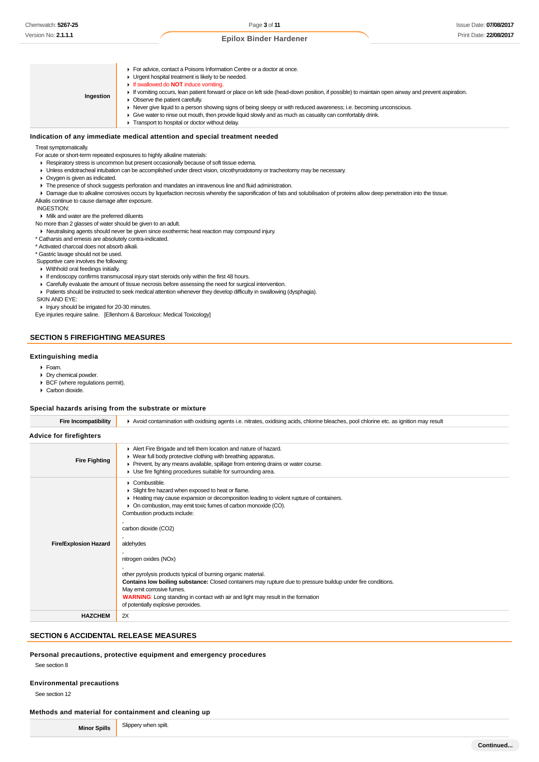**Ingestion For advice, contact a Poisons Information Centre or a doctor at once. Urgent hospital treatment is likely to be needed.** If swallowed do **NOT** induce vomiting. If vomiting occurs, lean patient forward or place on left side (head-down position, if possible) to maintain open airway and prevent aspiration. ▶ Observe the patient carefully. ► Never give liquid to a person showing signs of being sleepy or with reduced awareness; i.e. becoming unconscious. Give water to rinse out mouth, then provide liquid slowly and as much as casualty can comfortably drink. **Transport to hospital or doctor without delay.** 

#### **Indication of any immediate medical attention and special treatment needed**

#### Treat symptomatically.

- For acute or short-term repeated exposures to highly alkaline materials:
- Respiratory stress is uncommon but present occasionally because of soft tissue edema.
- Unless endotracheal intubation can be accomplished under direct vision, cricothyroidotomy or tracheotomy may be necessary.
- Oxygen is given as indicated.
- The presence of shock suggests perforation and mandates an intravenous line and fluid administration.
- Damage due to alkaline corrosives occurs by liquefaction necrosis whereby the saponification of fats and solubilisation of proteins allow deep penetration into the tissue.
- Alkalis continue to cause damage after exposure.

#### INGESTION:

Milk and water are the preferred diluents

No more than 2 glasses of water should be given to an adult.

Neutralising agents should never be given since exothermic heat reaction may compound injury.

\* Catharsis and emesis are absolutely contra-indicated.

\* Activated charcoal does not absorb alkali.

\* Gastric lavage should not be used.

Supportive care involves the following:

- Withhold oral feedings initially.
- If endoscopy confirms transmucosal injury start steroids only within the first 48 hours.
- Carefully evaluate the amount of tissue necrosis before assessing the need for surgical intervention.
- Patients should be instructed to seek medical attention whenever they develop difficulty in swallowing (dysphagia).
- SKIN AND EYE:

Injury should be irrigated for 20-30 minutes.

Eye injuries require saline. [Ellenhorn & Barceloux: Medical Toxicology]

## **SECTION 5 FIREFIGHTING MEASURES**

#### **Extinguishing media**

- Foam.
- **Dry chemical powder.**
- BCF (where regulations permit).
- Carbon dioxide.

#### **Special hazards arising from the substrate or mixture**

| <b>Fire Incompatibility</b>    | Avoid contamination with oxidising agents i.e. nitrates, oxidising acids, chlorine bleaches, pool chlorine etc. as ignition may result                                                                                                                                                                                                                                                                                                                                                                                                                                                                                                                                                       |  |  |
|--------------------------------|----------------------------------------------------------------------------------------------------------------------------------------------------------------------------------------------------------------------------------------------------------------------------------------------------------------------------------------------------------------------------------------------------------------------------------------------------------------------------------------------------------------------------------------------------------------------------------------------------------------------------------------------------------------------------------------------|--|--|
| <b>Advice for firefighters</b> |                                                                                                                                                                                                                                                                                                                                                                                                                                                                                                                                                                                                                                                                                              |  |  |
| <b>Fire Fighting</b>           | Alert Fire Brigade and tell them location and nature of hazard.<br>• Wear full body protective clothing with breathing apparatus.<br>▶ Prevent, by any means available, spillage from entering drains or water course.<br>• Use fire fighting procedures suitable for surrounding area.                                                                                                                                                                                                                                                                                                                                                                                                      |  |  |
| <b>Fire/Explosion Hazard</b>   | $\triangleright$ Combustible.<br>Slight fire hazard when exposed to heat or flame.<br>Heating may cause expansion or decomposition leading to violent rupture of containers.<br>• On combustion, may emit toxic fumes of carbon monoxide (CO).<br>Combustion products include:<br>carbon dioxide (CO2)<br>aldehydes<br>nitrogen oxides (NOx)<br>other pyrolysis products typical of burning organic material.<br>Contains low boiling substance: Closed containers may rupture due to pressure buildup under fire conditions.<br>May emit corrosive fumes.<br><b>WARNING:</b> Long standing in contact with air and light may result in the formation<br>of potentially explosive peroxides. |  |  |
| <b>HAZCHEM</b>                 | 2X                                                                                                                                                                                                                                                                                                                                                                                                                                                                                                                                                                                                                                                                                           |  |  |

#### **SECTION 6 ACCIDENTAL RELEASE MEASURES**

#### **Personal precautions, protective equipment and emergency procedures**

See section 8

#### **Environmental precautions**

See section 12

#### **Methods and material for containment and cleaning up**

**Minor Spills** Slippery when spilt.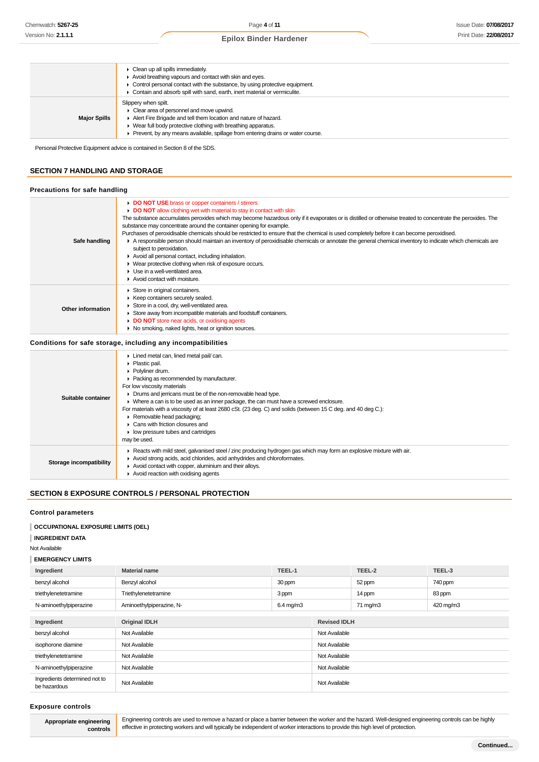|                     | $\triangleright$ Clean up all spills immediately.<br>Avoid breathing vapours and contact with skin and eyes.<br>• Control personal contact with the substance, by using protective equipment.<br>Contain and absorb spill with sand, earth, inert material or vermiculite.                                       |
|---------------------|------------------------------------------------------------------------------------------------------------------------------------------------------------------------------------------------------------------------------------------------------------------------------------------------------------------|
| <b>Major Spills</b> | Slippery when spilt.<br>• Clear area of personnel and move upwind.<br>Alert Fire Brigade and tell them location and nature of hazard.<br>$\blacktriangleright$ Wear full body protective clothing with breathing apparatus.<br>• Prevent, by any means available, spillage from entering drains or water course. |

Personal Protective Equipment advice is contained in Section 8 of the SDS.

## **SECTION 7 HANDLING AND STORAGE**

#### **Precautions for safe handling**

| Safe handling     | DO NOT USE brass or copper containers / stirrers<br>DO NOT allow clothing wet with material to stay in contact with skin<br>The substance accumulates peroxides which may become hazardous only if it evaporates or is distilled or otherwise treated to concentrate the peroxides. The<br>substance may concentrate around the container opening for example.<br>Purchases of peroxidisable chemicals should be restricted to ensure that the chemical is used completely before it can become peroxidised.<br>A responsible person should maintain an inventory of peroxidisable chemicals or annotate the general chemical inventory to indicate which chemicals are<br>subject to peroxidation.<br>Avoid all personal contact, including inhalation.<br>• Wear protective clothing when risk of exposure occurs.<br>$\blacktriangleright$ Use in a well-ventilated area.<br>Avoid contact with moisture. |
|-------------------|--------------------------------------------------------------------------------------------------------------------------------------------------------------------------------------------------------------------------------------------------------------------------------------------------------------------------------------------------------------------------------------------------------------------------------------------------------------------------------------------------------------------------------------------------------------------------------------------------------------------------------------------------------------------------------------------------------------------------------------------------------------------------------------------------------------------------------------------------------------------------------------------------------------|
| Other information | Store in original containers.<br>▶ Keep containers securely sealed.<br>Store in a cool, dry, well-ventilated area.<br>Store away from incompatible materials and foodstuff containers.<br>DO NOT store near acids, or oxidising agents<br>• No smoking, naked lights, heat or ignition sources.                                                                                                                                                                                                                                                                                                                                                                                                                                                                                                                                                                                                              |

## **Conditions for safe storage, including any incompatibilities**

| Suitable container      | Lined metal can, lined metal pail/can.<br>• Plastic pail.<br>▶ Polvliner drum.<br>• Packing as recommended by manufacturer.<br>For low viscosity materials<br>• Drums and jerricans must be of the non-removable head type.<br>• Where a can is to be used as an inner package, the can must have a screwed enclosure.<br>For materials with a viscosity of at least 2680 cSt. (23 deg. C) and solids (between 15 C deg. and 40 deg C.):<br>Removable head packaging;<br>$\blacktriangleright$ Cans with friction closures and<br>$\blacktriangleright$ low pressure tubes and cartridges<br>may be used. |
|-------------------------|-----------------------------------------------------------------------------------------------------------------------------------------------------------------------------------------------------------------------------------------------------------------------------------------------------------------------------------------------------------------------------------------------------------------------------------------------------------------------------------------------------------------------------------------------------------------------------------------------------------|
| Storage incompatibility | Reacts with mild steel, galvanised steel / zinc producing hydrogen gas which may form an explosive mixture with air.<br>Avoid strong acids, acid chlorides, acid anhydrides and chloroformates.<br>Avoid contact with copper, aluminium and their alloys.<br>Avoid reaction with oxidising agents                                                                                                                                                                                                                                                                                                         |

#### **SECTION 8 EXPOSURE CONTROLS / PERSONAL PROTECTION**

#### **Control parameters**

#### **OCCUPATIONAL EXPOSURE LIMITS (OEL)**

| <b>INGREDIENT DATA</b> |  |
|------------------------|--|

Not Available

## **EMERGENCY LIMITS**

| Ingredient                                    | <b>Material name</b>     | TEEL-1              |                     | TEEL-2   | TEEL-3    |
|-----------------------------------------------|--------------------------|---------------------|---------------------|----------|-----------|
| benzyl alcohol                                | Benzyl alcohol           | 30 ppm              |                     | 52 ppm   | 740 ppm   |
| triethylenetetramine                          | Triethylenetetramine     | 3 ppm               |                     | 14 ppm   | 83 ppm    |
| N-aminoethylpiperazine                        | Aminoethylpiperazine, N- | $6.4 \text{ ma/m3}$ |                     | 71 mg/m3 | 420 mg/m3 |
| Ingredient                                    | <b>Original IDLH</b>     |                     | <b>Revised IDLH</b> |          |           |
| benzyl alcohol                                | Not Available            |                     | Not Available       |          |           |
| isophorone diamine                            | Not Available            |                     | Not Available       |          |           |
| triethylenetetramine                          | Not Available            |                     | Not Available       |          |           |
| N-aminoethylpiperazine                        | Not Available            |                     | Not Available       |          |           |
| Ingredients determined not to<br>be hazardous | Not Available            |                     | Not Available       |          |           |

#### **Exposure controls**

**Appropriate engineering controls** Engineering controls are used to remove a hazard or place a barrier between the worker and the hazard. Well-designed engineering controls can be highly effective in protecting workers and will typically be independent of worker interactions to provide this high level of protection.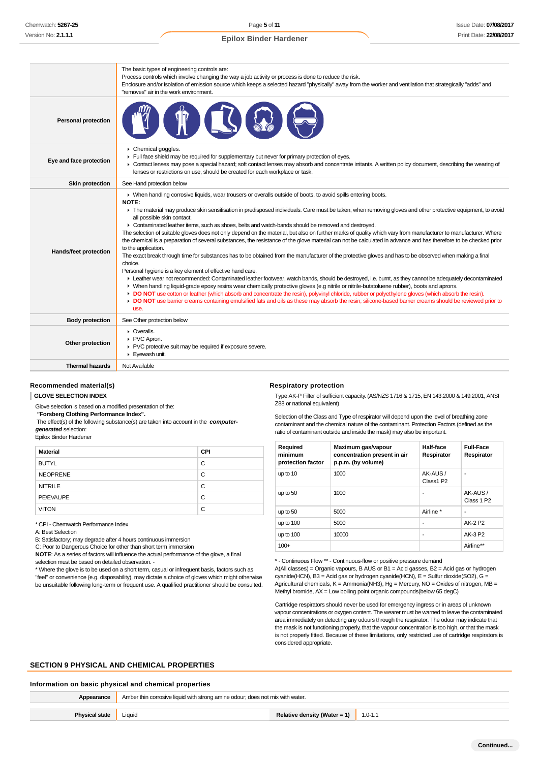Page **5** of **11 Epilox Binder Hardener**

|                            | The basic types of engineering controls are:<br>Process controls which involve changing the way a job activity or process is done to reduce the risk.<br>Enclosure and/or isolation of emission source which keeps a selected hazard "physically" away from the worker and ventilation that strategically "adds" and<br>"removes" air in the work environment.                                                                                                                                                                                                                                                                                                                                                                                                                                                                                                                                                                                                                                                                                                                                                                                                                                                                                                                                                                                                                                                                                                                                                                                                                                                                                                |
|----------------------------|---------------------------------------------------------------------------------------------------------------------------------------------------------------------------------------------------------------------------------------------------------------------------------------------------------------------------------------------------------------------------------------------------------------------------------------------------------------------------------------------------------------------------------------------------------------------------------------------------------------------------------------------------------------------------------------------------------------------------------------------------------------------------------------------------------------------------------------------------------------------------------------------------------------------------------------------------------------------------------------------------------------------------------------------------------------------------------------------------------------------------------------------------------------------------------------------------------------------------------------------------------------------------------------------------------------------------------------------------------------------------------------------------------------------------------------------------------------------------------------------------------------------------------------------------------------------------------------------------------------------------------------------------------------|
| <b>Personal protection</b> |                                                                                                                                                                                                                                                                                                                                                                                                                                                                                                                                                                                                                                                                                                                                                                                                                                                                                                                                                                                                                                                                                                                                                                                                                                                                                                                                                                                                                                                                                                                                                                                                                                                               |
| Eye and face protection    | • Chemical goggles.<br>Full face shield may be required for supplementary but never for primary protection of eyes.<br>• Contact lenses may pose a special hazard; soft contact lenses may absorb and concentrate irritants. A written policy document, describing the wearing of<br>lenses or restrictions on use, should be created for each workplace or task.                                                                                                                                                                                                                                                                                                                                                                                                                                                                                                                                                                                                                                                                                                                                                                                                                                                                                                                                                                                                                                                                                                                                                                                                                                                                                             |
| <b>Skin protection</b>     | See Hand protection below                                                                                                                                                                                                                                                                                                                                                                                                                                                                                                                                                                                                                                                                                                                                                                                                                                                                                                                                                                                                                                                                                                                                                                                                                                                                                                                                                                                                                                                                                                                                                                                                                                     |
| Hands/feet protection      | • When handling corrosive liquids, wear trousers or overalls outside of boots, to avoid spills entering boots.<br>NOTE:<br>The material may produce skin sensitisation in predisposed individuals. Care must be taken, when removing gloves and other protective equipment, to avoid<br>all possible skin contact.<br>► Contaminated leather items, such as shoes, belts and watch-bands should be removed and destroyed.<br>The selection of suitable gloves does not only depend on the material, but also on further marks of quality which vary from manufacturer to manufacturer. Where<br>the chemical is a preparation of several substances, the resistance of the glove material can not be calculated in advance and has therefore to be checked prior<br>to the application.<br>The exact break through time for substances has to be obtained from the manufacturer of the protective gloves and has to be observed when making a final<br>choice.<br>Personal hygiene is a key element of effective hand care.<br>Example wear not recommended: Contaminated leather footwear, watch bands, should be destroyed, i.e. burnt, as they cannot be adequately decontaminated<br>• When handling liquid-grade epoxy resins wear chemically protective gloves (e.g nitrile or nitrile-butatoluene rubber), boots and aprons.<br>► DO NOT use cotton or leather (which absorb and concentrate the resin), polyvinyl chloride, rubber or polyethylene gloves (which absorb the resin).<br>DO NOT use barrier creams containing emulsified fats and oils as these may absorb the resin; silicone-based barrier creams should be reviewed prior to<br>use. |
| <b>Body protection</b>     | See Other protection below                                                                                                                                                                                                                                                                                                                                                                                                                                                                                                                                                                                                                                                                                                                                                                                                                                                                                                                                                                                                                                                                                                                                                                                                                                                                                                                                                                                                                                                                                                                                                                                                                                    |
| Other protection           | • Overalls.<br>▶ PVC Apron.<br>PVC protective suit may be required if exposure severe.<br>Eyewash unit.                                                                                                                                                                                                                                                                                                                                                                                                                                                                                                                                                                                                                                                                                                                                                                                                                                                                                                                                                                                                                                                                                                                                                                                                                                                                                                                                                                                                                                                                                                                                                       |
| <b>Thermal hazards</b>     | Not Available                                                                                                                                                                                                                                                                                                                                                                                                                                                                                                                                                                                                                                                                                                                                                                                                                                                                                                                                                                                                                                                                                                                                                                                                                                                                                                                                                                                                                                                                                                                                                                                                                                                 |
|                            |                                                                                                                                                                                                                                                                                                                                                                                                                                                                                                                                                                                                                                                                                                                                                                                                                                                                                                                                                                                                                                                                                                                                                                                                                                                                                                                                                                                                                                                                                                                                                                                                                                                               |

### **Recommended material(s)**

#### **GLOVE SELECTION INDEX**

Glove selection is based on a modified presentation of the:

 **"Forsberg Clothing Performance Index".**

 The effect(s) of the following substance(s) are taken into account in the **computergenerated** selection:

Epilox Binder Hardener

| <b>Material</b> | <b>CPI</b> |
|-----------------|------------|
| <b>BUTYL</b>    | C          |
| <b>NEOPRENE</b> | C          |
| <b>NITRILE</b>  | C          |
| PE/EVAL/PE      | C          |
| <b>VITON</b>    | C          |

\* CPI - Chemwatch Performance Index

A: Best Selection

B: Satisfactory; may degrade after 4 hours continuous immersion

C: Poor to Dangerous Choice for other than short term immersion

**NOTE**: As a series of factors will influence the actual performance of the glove, a final selection must be based on detailed observation -

\* Where the glove is to be used on a short term, casual or infrequent basis, factors such as "feel" or convenience (e.g. disposability), may dictate a choice of gloves which might otherwise be unsuitable following long-term or frequent use. A qualified practitioner should be consulted.

**Respiratory protection**

Type AK-P Filter of sufficient capacity. (AS/NZS 1716 & 1715, EN 143:2000 & 149:2001, ANSI Z88 or national equivalent)

Selection of the Class and Type of respirator will depend upon the level of breathing zone contaminant and the chemical nature of the contaminant. Protection Factors (defined as the ratio of contaminant outside and inside the mask) may also be important.

| Required<br>minimum<br>protection factor | Maximum gas/vapour<br>concentration present in air<br>p.p.m. (by volume) | Half-face<br>Respirator | <b>Full-Face</b><br>Respirator    |
|------------------------------------------|--------------------------------------------------------------------------|-------------------------|-----------------------------------|
| up to 10                                 | 1000                                                                     | AK-AUS/<br>Class1 P2    | $\blacksquare$                    |
| up to 50                                 | 1000                                                                     | ۰                       | AK-AUS/<br>Class 1 P <sub>2</sub> |
| up to 50                                 | 5000                                                                     | Airline *               | ۰                                 |
| up to $100$                              | 5000                                                                     | ٠                       | AK-2 P2                           |
| up to $100$                              | 10000                                                                    | ٠                       | AK-3 P2                           |
| $100+$                                   |                                                                          |                         | Airline**                         |

\* - Continuous Flow \*\* - Continuous-flow or positive pressure demand

A(All classes) = Organic vapours, B AUS or B1 = Acid gasses, B2 = Acid gas or hydrogen cyanide(HCN), B3 = Acid gas or hydrogen cyanide(HCN), E = Sulfur dioxide(SO2), G = Agricultural chemicals,  $K =$  Ammonia(NH3), Hg = Mercury, NO = Oxides of nitrogen, MB = Methyl bromide, AX = Low boiling point organic compounds(below 65 degC)

Cartridge respirators should never be used for emergency ingress or in areas of unknown vapour concentrations or oxygen content. The wearer must be warned to leave the contaminated area immediately on detecting any odours through the respirator. The odour may indicate that the mask is not functioning properly, that the vapour concentration is too high, or that the mask is not properly fitted. Because of these limitations, only restricted use of cartridge respirators is considered appropriate.

#### **SECTION 9 PHYSICAL AND CHEMICAL PROPERTIES**

#### **Information on basic physical and chemical properties**

| Appearance            | Amber thin corrosive liquid with strong amine odour; does not mix with water. |  |  |
|-----------------------|-------------------------------------------------------------------------------|--|--|
| <b>Physical state</b> | Relative density (Water = 1)<br>Liquid<br>$1.0 - 1.1$                         |  |  |
|                       |                                                                               |  |  |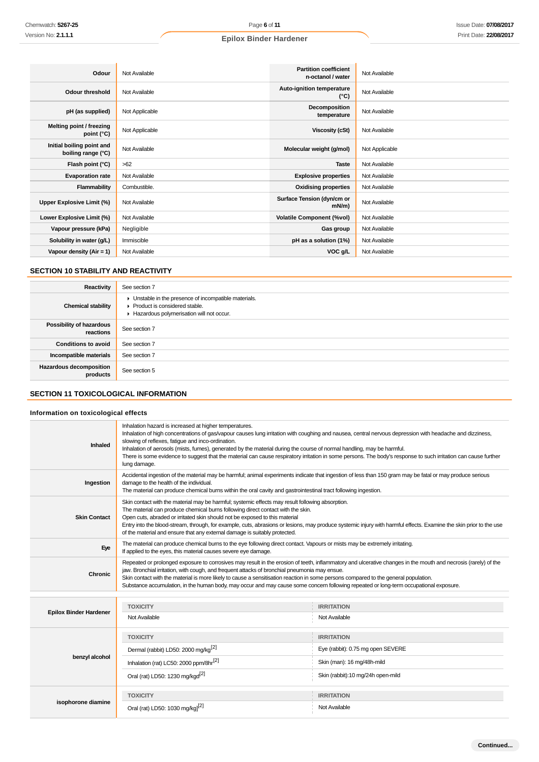| Odour                                           | Not Available  | <b>Partition coefficient</b><br>n-octanol / water | Not Available  |
|-------------------------------------------------|----------------|---------------------------------------------------|----------------|
| Odour threshold                                 | Not Available  | Auto-ignition temperature<br>$(^{\circ}C)$        | Not Available  |
| pH (as supplied)                                | Not Applicable | Decomposition<br>temperature                      | Not Available  |
| Melting point / freezing<br>point (°C)          | Not Applicable | <b>Viscosity (cSt)</b>                            | Not Available  |
| Initial boiling point and<br>boiling range (°C) | Not Available  | Molecular weight (g/mol)                          | Not Applicable |
| Flash point (°C)                                | >62            | <b>Taste</b>                                      | Not Available  |
| <b>Evaporation rate</b>                         | Not Available  | <b>Explosive properties</b>                       | Not Available  |
| Flammability                                    | Combustible.   | <b>Oxidising properties</b>                       | Not Available  |
| Upper Explosive Limit (%)                       | Not Available  | Surface Tension (dyn/cm or<br>$mN/m$ )            | Not Available  |
| Lower Explosive Limit (%)                       | Not Available  | <b>Volatile Component (%vol)</b>                  | Not Available  |
| Vapour pressure (kPa)                           | Negligible     | Gas group                                         | Not Available  |
| Solubility in water (g/L)                       | Immiscible     | pH as a solution (1%)                             | Not Available  |
| Vapour density (Air = 1)                        | Not Available  | VOC g/L                                           | Not Available  |

## **SECTION 10 STABILITY AND REACTIVITY**

| Reactivity                            | See section 7                                                                                                                        |
|---------------------------------------|--------------------------------------------------------------------------------------------------------------------------------------|
| <b>Chemical stability</b>             | • Unstable in the presence of incompatible materials.<br>▶ Product is considered stable.<br>Hazardous polymerisation will not occur. |
| Possibility of hazardous<br>reactions | See section 7                                                                                                                        |
| <b>Conditions to avoid</b>            | See section 7                                                                                                                        |
| Incompatible materials                | See section 7                                                                                                                        |
| Hazardous decomposition<br>products   | See section 5                                                                                                                        |

## **SECTION 11 TOXICOLOGICAL INFORMATION**

## **Information on toxicological effects**

| Inhaled                       | Inhalation hazard is increased at higher temperatures.<br>Inhalation of high concentrations of gas/vapour causes lung irritation with coughing and nausea, central nervous depression with headache and dizziness,<br>slowing of reflexes, fatigue and inco-ordination.<br>Inhalation of aerosols (mists, fumes), generated by the material during the course of normal handling, may be harmful.<br>There is some evidence to suggest that the material can cause respiratory irritation in some persons. The body's response to such irritation can cause further<br>lung damage. |                                   |  |
|-------------------------------|-------------------------------------------------------------------------------------------------------------------------------------------------------------------------------------------------------------------------------------------------------------------------------------------------------------------------------------------------------------------------------------------------------------------------------------------------------------------------------------------------------------------------------------------------------------------------------------|-----------------------------------|--|
| Ingestion                     | Accidental ingestion of the material may be harmful; animal experiments indicate that ingestion of less than 150 gram may be fatal or may produce serious<br>damage to the health of the individual.<br>The material can produce chemical burns within the oral cavity and gastrointestinal tract following ingestion.                                                                                                                                                                                                                                                              |                                   |  |
| <b>Skin Contact</b>           | Skin contact with the material may be harmful; systemic effects may result following absorption.<br>The material can produce chemical burns following direct contact with the skin.<br>Open cuts, abraded or irritated skin should not be exposed to this material<br>Entry into the blood-stream, through, for example, cuts, abrasions or lesions, may produce systemic injury with harmful effects. Examine the skin prior to the use<br>of the material and ensure that any external damage is suitably protected.                                                              |                                   |  |
| Eye                           | The material can produce chemical burns to the eye following direct contact. Vapours or mists may be extremely irritating.<br>If applied to the eyes, this material causes severe eye damage.                                                                                                                                                                                                                                                                                                                                                                                       |                                   |  |
| <b>Chronic</b>                | Repeated or prolonged exposure to corrosives may result in the erosion of teeth, inflammatory and ulcerative changes in the mouth and necrosis (rarely) of the<br>jaw. Bronchial irritation, with cough, and frequent attacks of bronchial pneumonia may ensue.<br>Skin contact with the material is more likely to cause a sensitisation reaction in some persons compared to the general population.<br>Substance accumulation, in the human body, may occur and may cause some concern following repeated or long-term occupational exposure.                                    |                                   |  |
|                               |                                                                                                                                                                                                                                                                                                                                                                                                                                                                                                                                                                                     |                                   |  |
|                               | <b>TOXICITY</b>                                                                                                                                                                                                                                                                                                                                                                                                                                                                                                                                                                     | <b>IRRITATION</b>                 |  |
| <b>Epilox Binder Hardener</b> | Not Available                                                                                                                                                                                                                                                                                                                                                                                                                                                                                                                                                                       | Not Available                     |  |
|                               | <b>TOXICITY</b>                                                                                                                                                                                                                                                                                                                                                                                                                                                                                                                                                                     | <b>IRRITATION</b>                 |  |
|                               | Dermal (rabbit) LD50: 2000 mg/kg <sup>[2]</sup>                                                                                                                                                                                                                                                                                                                                                                                                                                                                                                                                     | Eye (rabbit): 0.75 mg open SEVERE |  |
| benzyl alcohol                | Inhalation (rat) LC50: 2000 ppm/8hr <sup>[2]</sup>                                                                                                                                                                                                                                                                                                                                                                                                                                                                                                                                  | Skin (man): 16 mg/48h-mild        |  |
|                               | Oral (rat) LD50: 1230 mg/kgd <sup>[2]</sup>                                                                                                                                                                                                                                                                                                                                                                                                                                                                                                                                         | Skin (rabbit):10 mg/24h open-mild |  |
|                               | <b>TOXICITY</b>                                                                                                                                                                                                                                                                                                                                                                                                                                                                                                                                                                     | <b>IRRITATION</b>                 |  |
| isophorone diamine            | Oral (rat) LD50: 1030 mg/kg] <sup>[2]</sup>                                                                                                                                                                                                                                                                                                                                                                                                                                                                                                                                         | Not Available                     |  |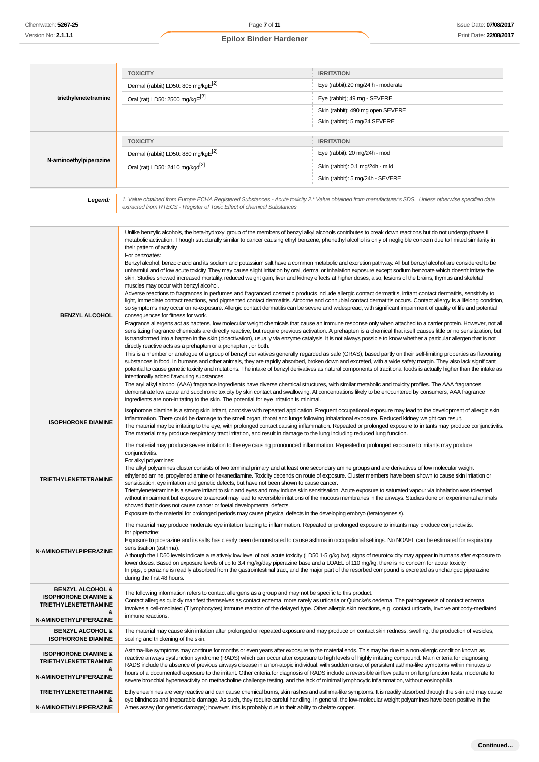**N-AMINOETHYLPIPERAZINE**

## **Epilox Binder Hardener**

|                                                                     | <b>TOXICITY</b><br><b>IRRITATION</b>                                                                                                                                                                                                                                                                                                                                                                                                                                                                                                                                                                                                                                                                                                                                                                                                                                                                                                                                                                                                                                                                                                                                                                                                                                                                                                                                                                                                                                                                                                                                                                                                                                                                                                                                                                                                                                                                                                                                                                                                                                                                                                                                                                                                                                                                                                                                                                                                                                                                                                                                                                                                                                                                                                                                                                                                                                                                                                                                                                            |                                                                                                                                                            |  |
|---------------------------------------------------------------------|-----------------------------------------------------------------------------------------------------------------------------------------------------------------------------------------------------------------------------------------------------------------------------------------------------------------------------------------------------------------------------------------------------------------------------------------------------------------------------------------------------------------------------------------------------------------------------------------------------------------------------------------------------------------------------------------------------------------------------------------------------------------------------------------------------------------------------------------------------------------------------------------------------------------------------------------------------------------------------------------------------------------------------------------------------------------------------------------------------------------------------------------------------------------------------------------------------------------------------------------------------------------------------------------------------------------------------------------------------------------------------------------------------------------------------------------------------------------------------------------------------------------------------------------------------------------------------------------------------------------------------------------------------------------------------------------------------------------------------------------------------------------------------------------------------------------------------------------------------------------------------------------------------------------------------------------------------------------------------------------------------------------------------------------------------------------------------------------------------------------------------------------------------------------------------------------------------------------------------------------------------------------------------------------------------------------------------------------------------------------------------------------------------------------------------------------------------------------------------------------------------------------------------------------------------------------------------------------------------------------------------------------------------------------------------------------------------------------------------------------------------------------------------------------------------------------------------------------------------------------------------------------------------------------------------------------------------------------------------------------------------------------|------------------------------------------------------------------------------------------------------------------------------------------------------------|--|
|                                                                     | Dermal (rabbit) LD50: 805 mg/kgE[2]                                                                                                                                                                                                                                                                                                                                                                                                                                                                                                                                                                                                                                                                                                                                                                                                                                                                                                                                                                                                                                                                                                                                                                                                                                                                                                                                                                                                                                                                                                                                                                                                                                                                                                                                                                                                                                                                                                                                                                                                                                                                                                                                                                                                                                                                                                                                                                                                                                                                                                                                                                                                                                                                                                                                                                                                                                                                                                                                                                             | Eye (rabbit):20 mg/24 h - moderate                                                                                                                         |  |
| triethylenetetramine                                                | Oral (rat) LD50: 2500 mg/kgE[2]                                                                                                                                                                                                                                                                                                                                                                                                                                                                                                                                                                                                                                                                                                                                                                                                                                                                                                                                                                                                                                                                                                                                                                                                                                                                                                                                                                                                                                                                                                                                                                                                                                                                                                                                                                                                                                                                                                                                                                                                                                                                                                                                                                                                                                                                                                                                                                                                                                                                                                                                                                                                                                                                                                                                                                                                                                                                                                                                                                                 | Eye (rabbit); 49 mg - SEVERE                                                                                                                               |  |
|                                                                     |                                                                                                                                                                                                                                                                                                                                                                                                                                                                                                                                                                                                                                                                                                                                                                                                                                                                                                                                                                                                                                                                                                                                                                                                                                                                                                                                                                                                                                                                                                                                                                                                                                                                                                                                                                                                                                                                                                                                                                                                                                                                                                                                                                                                                                                                                                                                                                                                                                                                                                                                                                                                                                                                                                                                                                                                                                                                                                                                                                                                                 | Skin (rabbit): 490 mg open SEVERE                                                                                                                          |  |
|                                                                     |                                                                                                                                                                                                                                                                                                                                                                                                                                                                                                                                                                                                                                                                                                                                                                                                                                                                                                                                                                                                                                                                                                                                                                                                                                                                                                                                                                                                                                                                                                                                                                                                                                                                                                                                                                                                                                                                                                                                                                                                                                                                                                                                                                                                                                                                                                                                                                                                                                                                                                                                                                                                                                                                                                                                                                                                                                                                                                                                                                                                                 | Skin (rabbit): 5 mg/24 SEVERE                                                                                                                              |  |
|                                                                     | <b>TOXICITY</b>                                                                                                                                                                                                                                                                                                                                                                                                                                                                                                                                                                                                                                                                                                                                                                                                                                                                                                                                                                                                                                                                                                                                                                                                                                                                                                                                                                                                                                                                                                                                                                                                                                                                                                                                                                                                                                                                                                                                                                                                                                                                                                                                                                                                                                                                                                                                                                                                                                                                                                                                                                                                                                                                                                                                                                                                                                                                                                                                                                                                 | <b>IRRITATION</b>                                                                                                                                          |  |
|                                                                     | Dermal (rabbit) LD50: 880 mg/kgE[2]                                                                                                                                                                                                                                                                                                                                                                                                                                                                                                                                                                                                                                                                                                                                                                                                                                                                                                                                                                                                                                                                                                                                                                                                                                                                                                                                                                                                                                                                                                                                                                                                                                                                                                                                                                                                                                                                                                                                                                                                                                                                                                                                                                                                                                                                                                                                                                                                                                                                                                                                                                                                                                                                                                                                                                                                                                                                                                                                                                             | Eye (rabbit): 20 mg/24h - mod                                                                                                                              |  |
| N-aminoethylpiperazine                                              | Oral (rat) LD50: 2410 mg/kgd <sup>[2]</sup>                                                                                                                                                                                                                                                                                                                                                                                                                                                                                                                                                                                                                                                                                                                                                                                                                                                                                                                                                                                                                                                                                                                                                                                                                                                                                                                                                                                                                                                                                                                                                                                                                                                                                                                                                                                                                                                                                                                                                                                                                                                                                                                                                                                                                                                                                                                                                                                                                                                                                                                                                                                                                                                                                                                                                                                                                                                                                                                                                                     | Skin (rabbit): 0.1 mg/24h - mild                                                                                                                           |  |
|                                                                     |                                                                                                                                                                                                                                                                                                                                                                                                                                                                                                                                                                                                                                                                                                                                                                                                                                                                                                                                                                                                                                                                                                                                                                                                                                                                                                                                                                                                                                                                                                                                                                                                                                                                                                                                                                                                                                                                                                                                                                                                                                                                                                                                                                                                                                                                                                                                                                                                                                                                                                                                                                                                                                                                                                                                                                                                                                                                                                                                                                                                                 | Skin (rabbit): 5 mg/24h - SEVERE                                                                                                                           |  |
| Legend:                                                             | 1. Value obtained from Europe ECHA Registered Substances - Acute toxicity 2.* Value obtained from manufacturer's SDS. Unless otherwise specified data<br>extracted from RTECS - Register of Toxic Effect of chemical Substances                                                                                                                                                                                                                                                                                                                                                                                                                                                                                                                                                                                                                                                                                                                                                                                                                                                                                                                                                                                                                                                                                                                                                                                                                                                                                                                                                                                                                                                                                                                                                                                                                                                                                                                                                                                                                                                                                                                                                                                                                                                                                                                                                                                                                                                                                                                                                                                                                                                                                                                                                                                                                                                                                                                                                                                 |                                                                                                                                                            |  |
| <b>BENZYL ALCOHOL</b>                                               | Unlike benzylic alcohols, the beta-hydroxyl group of the members of benzyl alkyl alcohols contributes to break down reactions but do not undergo phase II<br>metabolic activation. Though structurally similar to cancer causing ethyl benzene, phenethyl alcohol is only of negligible concern due to limited similarity in<br>their pattern of activity.<br>For benzoates:<br>Benzyl alcohol, benzoic acid and its sodium and potassium salt have a common metabolic and excretion pathway. All but benzyl alcohol are considered to be<br>unharmful and of low acute toxicity. They may cause slight irritation by oral, dermal or inhalation exposure except sodium benzoate which doesn't irritate the<br>skin. Studies showed increased mortality, reduced weight gain, liver and kidney effects at higher doses, also, lesions of the brains, thymus and skeletal<br>muscles may occur with benzyl alcohol.<br>Adverse reactions to fragrances in perfumes and fragranced cosmetic products include allergic contact dermatitis, irritant contact dermatitis, sensitivity to<br>light, immediate contact reactions, and pigmented contact dermatitis. Airborne and connubial contact dermatitis occurs. Contact allergy is a lifelong condition,<br>so symptoms may occur on re-exposure. Allergic contact dermatitis can be severe and widespread, with significant impairment of quality of life and potential<br>consequences for fitness for work.<br>Fragrance allergens act as haptens, low molecular weight chemicals that cause an immune response only when attached to a carrier protein. However, not all<br>sensitizing fragrance chemicals are directly reactive, but require previous activation. A prehapten is a chemical that itself causes little or no sensitization, but<br>is transformed into a hapten in the skin (bioactivation), usually via enzyme catalysis. It is not always possible to know whether a particular allergen that is not<br>directly reactive acts as a prehapten or a prohapten, or both.<br>This is a member or analogue of a group of benzyl derivatives generally regarded as safe (GRAS), based partly on their self-limiting properties as flavouring<br>substances in food. In humans and other animals, they are rapidly absorbed, broken down and excreted, with a wide safety margin. They also lack significant<br>potential to cause genetic toxicity and mutations. The intake of benzyl derivatives as natural components of traditional foods is actually higher than the intake as<br>intentionally added flavouring substances.<br>The aryl alkyl alcohol (AAA) fragrance ingredients have diverse chemical structures, with similar metabolic and toxicity profiles. The AAA fragrances<br>demonstrate low acute and subchronic toxicity by skin contact and swallowing. At concentrations likely to be encountered by consumers, AAA fragrance<br>ingredients are non-irritating to the skin. The potential for eye irritation is minimal. |                                                                                                                                                            |  |
| <b>ISOPHORONE DIAMINE</b>                                           | Isophorone diamine is a strong skin irritant, corrosive with repeated application. Frequent occupational exposure may lead to the development of allergic skin<br>inflammation. There could be damage to the smell organ, throat and lungs following inhalational exposure. Reduced kidney weight can result.<br>The material may be irritating to the eye, with prolonged contact causing inflammation. Repeated or prolonged exposure to irritants may produce conjunctivitis.<br>The material may produce respiratory tract irritation, and result in damage to the lung including reduced lung function.                                                                                                                                                                                                                                                                                                                                                                                                                                                                                                                                                                                                                                                                                                                                                                                                                                                                                                                                                                                                                                                                                                                                                                                                                                                                                                                                                                                                                                                                                                                                                                                                                                                                                                                                                                                                                                                                                                                                                                                                                                                                                                                                                                                                                                                                                                                                                                                                    |                                                                                                                                                            |  |
| <b>TRIETHYLENETETRAMINE</b>                                         | The material may produce severe irritation to the eye causing pronounced inflammation. Repeated or prolonged exposure to irritants may produce<br>conjunctivitis.<br>For alkyl polyamines:<br>The alkyl polyamines cluster consists of two terminal primary and at least one secondary amine groups and are derivatives of low molecular weight<br>ethylenediamine, propylenediamine or hexanediamine. Toxicity depends on route of exposure. Cluster members have been shown to cause skin irritation or<br>sensitisation, eye irritation and genetic defects, but have not been shown to cause cancer.<br>Triethylenetetramine is a severe irritant to skin and eyes and may induce skin sensitisation. Acute exposure to saturated vapour via inhalation was tolerated<br>without impairment but exposure to aerosol may lead to reversible irritations of the mucous membranes in the airways. Studies done on experimental animals<br>showed that it does not cause cancer or foetal developmental defects.<br>Exposure to the material for prolonged periods may cause physical defects in the developing embryo (teratogenesis).                                                                                                                                                                                                                                                                                                                                                                                                                                                                                                                                                                                                                                                                                                                                                                                                                                                                                                                                                                                                                                                                                                                                                                                                                                                                                                                                                                                                                                                                                                                                                                                                                                                                                                                                                                                                                                                                         |                                                                                                                                                            |  |
| N-AMINOETHYLPIPERAZINE                                              | The material may produce moderate eye irritation leading to inflammation. Repeated or prolonged exposure to irritants may produce conjunctivitis.<br>for piperazine:<br>Exposure to piperazine and its salts has clearly been demonstrated to cause asthma in occupational settings. No NOAEL can be estimated for respiratory<br>sensitisation (asthma).<br>Although the LD50 levels indicate a relatively low level of oral acute toxicity (LD50 1-5 q/kg bw), signs of neurotoxicity may appear in humans after exposure to<br>lower doses. Based on exposure levels of up to 3.4 mg/kg/day piperazine base and a LOAEL of 110 mg/kg, there is no concern for acute toxicity<br>In pigs, piperazine is readily absorbed from the gastrointestinal tract, and the major part of the resorbed compound is excreted as unchanged piperazine<br>during the first 48 hours.                                                                                                                                                                                                                                                                                                                                                                                                                                                                                                                                                                                                                                                                                                                                                                                                                                                                                                                                                                                                                                                                                                                                                                                                                                                                                                                                                                                                                                                                                                                                                                                                                                                                                                                                                                                                                                                                                                                                                                                                                                                                                                                                       |                                                                                                                                                            |  |
| <b>BENZYL ALCOHOL &amp;</b>                                         | The following information refers to contact allergens as a group and may not be specific to this product.                                                                                                                                                                                                                                                                                                                                                                                                                                                                                                                                                                                                                                                                                                                                                                                                                                                                                                                                                                                                                                                                                                                                                                                                                                                                                                                                                                                                                                                                                                                                                                                                                                                                                                                                                                                                                                                                                                                                                                                                                                                                                                                                                                                                                                                                                                                                                                                                                                                                                                                                                                                                                                                                                                                                                                                                                                                                                                       |                                                                                                                                                            |  |
| <b>ISOPHORONE DIAMINE &amp;</b><br><b>TRIETHYLENETETRAMINE</b>      | Contact allergies quickly manifest themselves as contact eczema, more rarely as urticaria or Quincke's oedema. The pathogenesis of contact eczema                                                                                                                                                                                                                                                                                                                                                                                                                                                                                                                                                                                                                                                                                                                                                                                                                                                                                                                                                                                                                                                                                                                                                                                                                                                                                                                                                                                                                                                                                                                                                                                                                                                                                                                                                                                                                                                                                                                                                                                                                                                                                                                                                                                                                                                                                                                                                                                                                                                                                                                                                                                                                                                                                                                                                                                                                                                               |                                                                                                                                                            |  |
| &<br>N-AMINOETHYLPIPERAZINE                                         | involves a cell-mediated (T lymphocytes) immune reaction of the delayed type. Other allergic skin reactions, e.g. contact urticaria, involve antibody-mediated<br>immune reactions.                                                                                                                                                                                                                                                                                                                                                                                                                                                                                                                                                                                                                                                                                                                                                                                                                                                                                                                                                                                                                                                                                                                                                                                                                                                                                                                                                                                                                                                                                                                                                                                                                                                                                                                                                                                                                                                                                                                                                                                                                                                                                                                                                                                                                                                                                                                                                                                                                                                                                                                                                                                                                                                                                                                                                                                                                             |                                                                                                                                                            |  |
| <b>BENZYL ALCOHOL &amp;</b>                                         | The material may cause skin irritation after prolonged or repeated exposure and may produce on contact skin redness, swelling, the production of vesicles,                                                                                                                                                                                                                                                                                                                                                                                                                                                                                                                                                                                                                                                                                                                                                                                                                                                                                                                                                                                                                                                                                                                                                                                                                                                                                                                                                                                                                                                                                                                                                                                                                                                                                                                                                                                                                                                                                                                                                                                                                                                                                                                                                                                                                                                                                                                                                                                                                                                                                                                                                                                                                                                                                                                                                                                                                                                      |                                                                                                                                                            |  |
| <b>ISOPHORONE DIAMINE</b>                                           | scaling and thickening of the skin.                                                                                                                                                                                                                                                                                                                                                                                                                                                                                                                                                                                                                                                                                                                                                                                                                                                                                                                                                                                                                                                                                                                                                                                                                                                                                                                                                                                                                                                                                                                                                                                                                                                                                                                                                                                                                                                                                                                                                                                                                                                                                                                                                                                                                                                                                                                                                                                                                                                                                                                                                                                                                                                                                                                                                                                                                                                                                                                                                                             |                                                                                                                                                            |  |
| <b>ISOPHORONE DIAMINE &amp;</b><br><b>TRIETHYLENETETRAMINE</b><br>& | Asthma-like symptoms may continue for months or even years after exposure to the material ends. This may be due to a non-allergic condition known as<br>reactive airways dysfunction syndrome (RADS) which can occur after exposure to high levels of highly irritating compound. Main criteria for diagnosing<br>RADS include the absence of previous airways disease in a non-atopic individual, with sudden onset of persistent asthma-like symptoms within minutes to                                                                                                                                                                                                                                                                                                                                                                                                                                                                                                                                                                                                                                                                                                                                                                                                                                                                                                                                                                                                                                                                                                                                                                                                                                                                                                                                                                                                                                                                                                                                                                                                                                                                                                                                                                                                                                                                                                                                                                                                                                                                                                                                                                                                                                                                                                                                                                                                                                                                                                                                       |                                                                                                                                                            |  |
| N-AMINOETHYLPIPERAZINE                                              | hours of a documented exposure to the irritant. Other criteria for diagnosis of RADS include a reversible airflow pattern on lung function tests, moderate to<br>severe bronchial hyperreactivity on methacholine challenge testing, and the lack of minimal lymphocytic inflammation, without eosinophilia.                                                                                                                                                                                                                                                                                                                                                                                                                                                                                                                                                                                                                                                                                                                                                                                                                                                                                                                                                                                                                                                                                                                                                                                                                                                                                                                                                                                                                                                                                                                                                                                                                                                                                                                                                                                                                                                                                                                                                                                                                                                                                                                                                                                                                                                                                                                                                                                                                                                                                                                                                                                                                                                                                                    |                                                                                                                                                            |  |
| <b>TRIETHYLENETETRAMINE</b><br>&                                    | eye blindness and irreparable damage. As such, they require careful handling. In general, the low-molecular weight polyamines have been positive in the                                                                                                                                                                                                                                                                                                                                                                                                                                                                                                                                                                                                                                                                                                                                                                                                                                                                                                                                                                                                                                                                                                                                                                                                                                                                                                                                                                                                                                                                                                                                                                                                                                                                                                                                                                                                                                                                                                                                                                                                                                                                                                                                                                                                                                                                                                                                                                                                                                                                                                                                                                                                                                                                                                                                                                                                                                                         | Ethyleneamines are very reactive and can cause chemical burns, skin rashes and asthma-like symptoms. It is readily absorbed through the skin and may cause |  |

Ames assay (for genetic damage); however, this is probably due to their ability to chelate copper.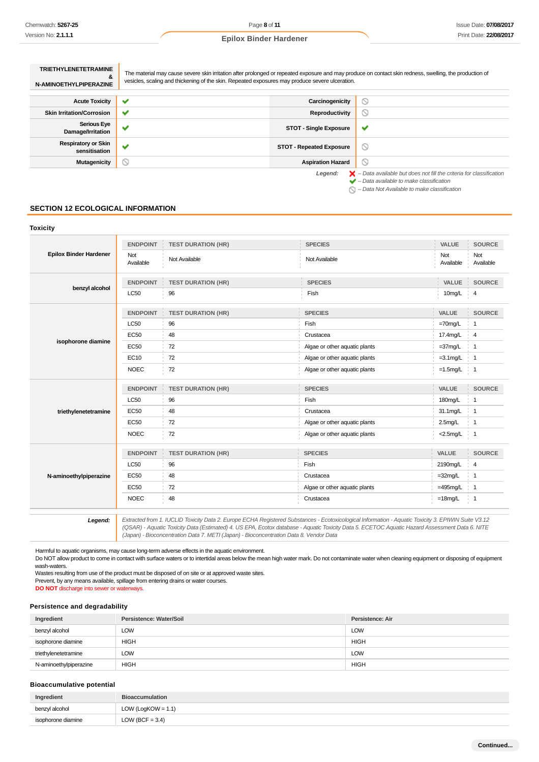|  |  | <b>Epilox Binder Hardener</b> |
|--|--|-------------------------------|
|--|--|-------------------------------|

| <b>TRIETHYLENETETRAMINE</b><br>&<br>N-AMINOETHYLPIPERAZINE | The material may cause severe skin irritation after prolonged or repeated exposure and may produce on contact skin redness, swelling, the production of<br>vesicles, scaling and thickening of the skin. Repeated exposures may produce severe ulceration. |                                 |                                                                                          |
|------------------------------------------------------------|------------------------------------------------------------------------------------------------------------------------------------------------------------------------------------------------------------------------------------------------------------|---------------------------------|------------------------------------------------------------------------------------------|
| <b>Acute Toxicity</b>                                      | w                                                                                                                                                                                                                                                          | Carcinogenicity                 | $\mathord{\circ}$                                                                        |
| <b>Skin Irritation/Corrosion</b>                           |                                                                                                                                                                                                                                                            | Reproductivity                  | ∾                                                                                        |
| <b>Serious Eye</b><br>Damage/Irritation                    | w                                                                                                                                                                                                                                                          | <b>STOT - Single Exposure</b>   | ✔                                                                                        |
| <b>Respiratory or Skin</b><br>sensitisation                | w                                                                                                                                                                                                                                                          | <b>STOT - Repeated Exposure</b> | $\circledcirc$                                                                           |
| <b>Mutagenicity</b>                                        | N                                                                                                                                                                                                                                                          | <b>Aspiration Hazard</b>        | ◎                                                                                        |
|                                                            |                                                                                                                                                                                                                                                            | Legend:                         | $\blacktriangleright$ - Data available but does not fill the criteria for classification |

 $\rightarrow$  – Data available to make classification  $\bigcirc$  – Data Not Available to make classification

### **SECTION 12 ECOLOGICAL INFORMATION**

## **Toxicity Epilox Binder Hardener ENDPOINT TEST DURATION (HR) SPECIES VALUE SOURCE** Not Available Not Available Not Available Not Available Not Available **benzyl alcohol ENDPOINT TEST DURATION (HR) SPECIES VALUE SOURCE** LC50 96 Fish 10mg/L 4 **isophorone diamine ENDPOINT TEST DURATION (HR) SPECIES VALUE SOURCE**  $\textsf{LCS0}$   $\qquad \qquad \textsf{96}$   $\qquad \qquad \textsf{Fish}$   $\qquad \qquad \textsf{Fish}$   $\qquad \qquad \textsf{1}$ EC50 48 Crustacea 17.4mg/L 4 EC50 72 Algae or other aquatic plants = 37mg/L 1 EC10 72 Algae or other aquatic plants = 3.1mg/L | 1 NOEC 72 Algae or other aquatic plants =1.5mg/L 1 **triethylenetetramine ENDPOINT TEST DURATION (HR) SPECIES VALUE SOURCE** LC50 96 Fish 180mg/L 1 EC50 48 Crustacea 31.1mg/L 1 EC50 72 Algae or other aquatic plants 2.5mg/L 1 NOEC 72 Algae or other aquatic plants <2.5mg/L 1 **N-aminoethylpiperazine ENDPOINT TEST DURATION (HR) SPECIES VALUE SOURCE** LC50 96 Fish 2190mg/L 4 EC50 48 Crustacea =32mg/L 1 EC50 72 Algae or other aquatic plants =495mg/L i 1 NOEC 48 Crustacea =18mg/L 1

**Legend:** Extracted from 1. IUCLID Toxicity Data 2. Europe ECHA Registered Substances - Ecotoxicological Information - Aquatic Toxicity 3. EPIWIN Suite V3.12 (QSAR) - Aquatic Toxicity Data (Estimated) 4. US EPA, Ecotox database - Aquatic Toxicity Data 5. ECETOC Aquatic Hazard Assessment Data 6. NITE (Japan) - Bioconcentration Data 7. METI (Japan) - Bioconcentration Data 8. Vendor Data

Harmful to aquatic organisms, may cause long-term adverse effects in the aquatic environment.

Do NOT allow product to come in contact with surface waters or to intertidal areas below the mean high water mark. Do not contaminate water when cleaning equipment or disposing of equipment wash-waters.

Wastes resulting from use of the product must be disposed of on site or at approved waste sites.

Prevent, by any means available, spillage from entering drains or water courses.

**DO NOT** discharge into sewer or waterways.

#### **Persistence and degradability**

| Ingredient             | Persistence: Water/Soil | Persistence: Air |
|------------------------|-------------------------|------------------|
| benzyl alcohol         | LOW                     | <b>LOW</b>       |
| isophorone diamine     | <b>HIGH</b>             | <b>HIGH</b>      |
| triethylenetetramine   | LOW                     | LOW              |
| N-aminoethylpiperazine | <b>HIGH</b>             | <b>HIGH</b>      |

#### **Bioaccumulative potential**

| Ingredient         | <b>Bioaccumulation</b> |  |  |
|--------------------|------------------------|--|--|
| benzyl alcohol     | LOW (LogKOW = $1.1$ )  |  |  |
| isophorone diamine | LOW (BCF = $3.4$ )     |  |  |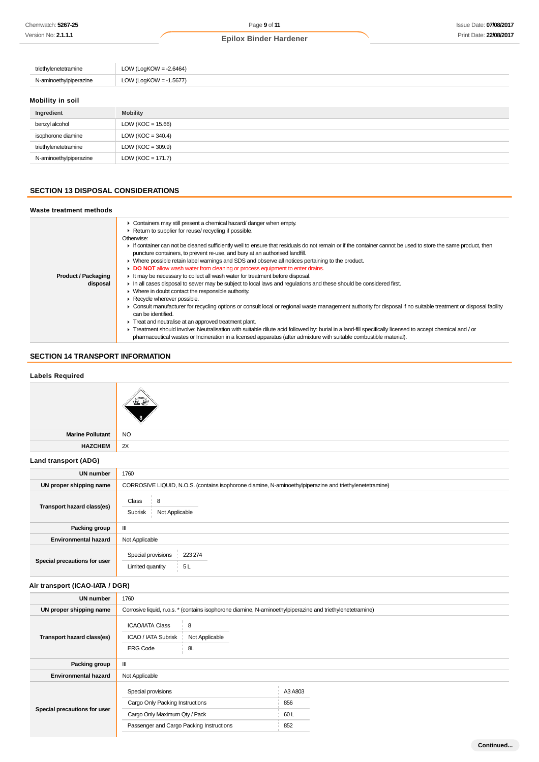| triethylenetetramine            | LOW (LogKOW = $-2.6464$ ) |
|---------------------------------|---------------------------|
| N-aminoethylpiperazine          | LOW (LogKOW = -1.5677)    |
| <b>Administration Community</b> |                           |

#### **Mobility in soil**

| Ingredient             | <b>Mobility</b>      |
|------------------------|----------------------|
| benzyl alcohol         | LOW (KOC = $15.66$ ) |
| isophorone diamine     | LOW (KOC = 340.4)    |
| triethylenetetramine   | LOW (KOC = $309.9$ ) |
| N-aminoethylpiperazine | $LOW (KOC = 171.7)$  |

## **SECTION 13 DISPOSAL CONSIDERATIONS**

#### **Waste treatment methods**

|                            | • Containers may still present a chemical hazard/danger when empty.                                                                                             |  |  |  |
|----------------------------|-----------------------------------------------------------------------------------------------------------------------------------------------------------------|--|--|--|
|                            | Return to supplier for reuse/ recycling if possible.                                                                                                            |  |  |  |
|                            | Otherwise:                                                                                                                                                      |  |  |  |
|                            | If container can not be cleaned sufficiently well to ensure that residuals do not remain or if the container cannot be used to store the same product, then     |  |  |  |
|                            | puncture containers, to prevent re-use, and bury at an authorised landfill.                                                                                     |  |  |  |
|                            | • Where possible retain label warnings and SDS and observe all notices pertaining to the product.                                                               |  |  |  |
|                            | DO NOT allow wash water from cleaning or process equipment to enter drains.                                                                                     |  |  |  |
| <b>Product / Packaging</b> | It may be necessary to collect all wash water for treatment before disposal.                                                                                    |  |  |  |
| disposal                   | In all cases disposal to sewer may be subject to local laws and regulations and these should be considered first.                                               |  |  |  |
|                            | • Where in doubt contact the responsible authority.                                                                                                             |  |  |  |
|                            | $\blacktriangleright$ Recycle wherever possible.                                                                                                                |  |  |  |
|                            | • Consult manufacturer for recycling options or consult local or regional waste management authority for disposal if no suitable treatment or disposal facility |  |  |  |
|                            | can be identified.                                                                                                                                              |  |  |  |
|                            | Treat and neutralise at an approved treatment plant.                                                                                                            |  |  |  |
|                            | ▶ Treatment should involve: Neutralisation with suitable dilute acid followed by: burial in a land-fill specifically licensed to accept chemical and / or       |  |  |  |
|                            | pharmaceutical wastes or Incineration in a licensed apparatus (after admixture with suitable combustible material).                                             |  |  |  |

## **SECTION 14 TRANSPORT INFORMATION**

# **Labels Required Marine Pollutant** NO **HAZCHEM** 2X **Land transport (ADG) UN number** 1760 **UN proper shipping name** CORROSIVE LIQUID, N.O.S. (contains isophorone diamine, N-aminoethylpiperazine and triethylenetetramine) **Transport hazard class(es)**  $Class \ \ 8$ Subrisk Not Applicable **Packing group** | III **Environmental hazard** Not Applicable **Special precautions for user** Special provisions 223 274 Limited quantity 5L **Air transport (ICAO-IATA / DGR) UN number** 1760 **UN proper shipping name** Corrosive liquid, n.o.s. \* (contains isophorone diamine, N-aminoethylpiperazine and triethylenetetramine) **Transport hazard class(es)**  $ICAO/IATA Class$  8 ICAO / IATA Subrisk Not Applicable

|                              | <b>ERG Code</b><br>8L                    |         |  |
|------------------------------|------------------------------------------|---------|--|
| Packing group                | $\mathbf{m}$                             |         |  |
| <b>Environmental hazard</b>  | Not Applicable                           |         |  |
| Special precautions for user | Special provisions                       | A3 A803 |  |
|                              | Cargo Only Packing Instructions          | 856     |  |
|                              | Cargo Only Maximum Qty / Pack            | 60 L    |  |
|                              | Passenger and Cargo Packing Instructions | 852     |  |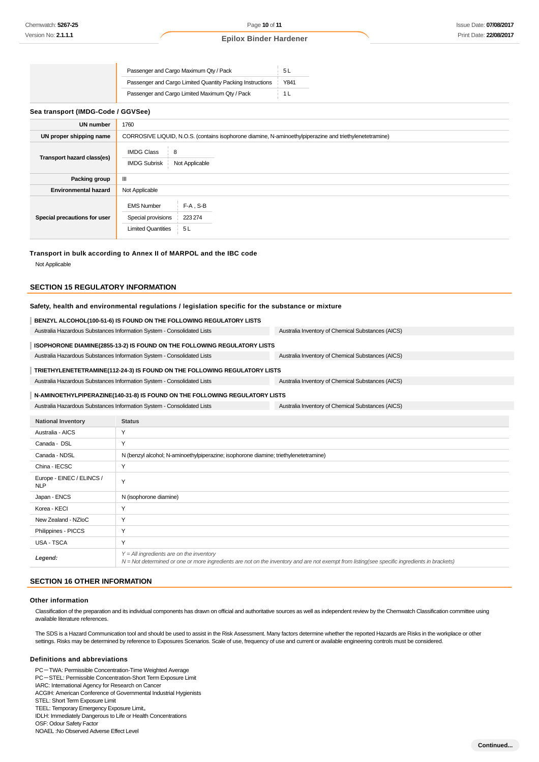| Passenger and Cargo Maximum Qty / Pack                    |      |
|-----------------------------------------------------------|------|
| Passenger and Cargo Limited Quantity Packing Instructions | Y841 |
| Passenger and Cargo Limited Maximum Qty / Pack            |      |

#### **Sea transport (IMDG-Code / GGVSee)**

| <b>UN number</b>             | 1760                                                                                                    |  |  |  |
|------------------------------|---------------------------------------------------------------------------------------------------------|--|--|--|
| UN proper shipping name      | CORROSIVE LIQUID, N.O.S. (contains isophorone diamine, N-aminoethylpiperazine and triethylenetetramine) |  |  |  |
| Transport hazard class(es)   | <b>IMDG Class</b><br>8<br><b>IMDG Subrisk</b><br>Not Applicable                                         |  |  |  |
| Packing group                | $\mathbf{III}$                                                                                          |  |  |  |
| <b>Environmental hazard</b>  | Not Applicable                                                                                          |  |  |  |
| Special precautions for user | $F-A$ , S-B<br><b>EMS Number</b><br>223 274<br>Special provisions<br><b>Limited Quantities</b><br>5L    |  |  |  |

#### **Transport in bulk according to Annex II of MARPOL and the IBC code**

Not Applicable

#### **SECTION 15 REGULATORY INFORMATION**

#### **Safety, health and environmental regulations / legislation specific for the substance or mixture**

| BENZYL ALCOHOL(100-51-6) IS FOUND ON THE FOLLOWING REGULATORY LISTS                                                         |                                                                             |                                                   |  |  |
|-----------------------------------------------------------------------------------------------------------------------------|-----------------------------------------------------------------------------|---------------------------------------------------|--|--|
|                                                                                                                             | Australia Hazardous Substances Information System - Consolidated Lists      | Australia Inventory of Chemical Substances (AICS) |  |  |
|                                                                                                                             | ISOPHORONE DIAMINE(2855-13-2) IS FOUND ON THE FOLLOWING REGULATORY LISTS    |                                                   |  |  |
|                                                                                                                             | Australia Hazardous Substances Information System - Consolidated Lists      | Australia Inventory of Chemical Substances (AICS) |  |  |
|                                                                                                                             | TRIETHYLENETETRAMINE(112-24-3) IS FOUND ON THE FOLLOWING REGULATORY LISTS   |                                                   |  |  |
|                                                                                                                             | Australia Hazardous Substances Information System - Consolidated Lists      | Australia Inventory of Chemical Substances (AICS) |  |  |
|                                                                                                                             | N-AMINOETHYLPIPERAZINE(140-31-8) IS FOUND ON THE FOLLOWING REGULATORY LISTS |                                                   |  |  |
| Australia Hazardous Substances Information System - Consolidated Lists<br>Australia Inventory of Chemical Substances (AICS) |                                                                             |                                                   |  |  |
| <b>National Inventory</b>                                                                                                   | <b>Status</b>                                                               |                                                   |  |  |
| Australia - AICS                                                                                                            | Y                                                                           |                                                   |  |  |
| Y<br>Canada - DSL                                                                                                           |                                                                             |                                                   |  |  |
| Canada - NDSL<br>N (benzyl alcohol; N-aminoethylpiperazine; isophorone diamine; triethylenetetramine)                       |                                                                             |                                                   |  |  |
| China - IECSC                                                                                                               | Υ                                                                           |                                                   |  |  |
| Europe - EINEC / ELINCS /<br>$\mathbf{m}$                                                                                   | Y                                                                           |                                                   |  |  |

| Europe - EINEC / ELINCS /<br><b>NLP</b> | $\checkmark$                                                                                                                                                                               |
|-----------------------------------------|--------------------------------------------------------------------------------------------------------------------------------------------------------------------------------------------|
| Japan - ENCS                            | N (isophorone diamine)                                                                                                                                                                     |
| Korea - KECI                            |                                                                                                                                                                                            |
| New Zealand - NZIoC                     | $\checkmark$                                                                                                                                                                               |
| Philippines - PICCS                     |                                                                                                                                                                                            |
| USA - TSCA                              | v                                                                                                                                                                                          |
| Legend:                                 | $Y = All$ ingredients are on the inventory<br>N = Not determined or one or more ingredients are not on the inventory and are not exempt from listing(see specific ingredients in brackets) |

## **SECTION 16 OTHER INFORMATION**

#### **Other information**

Classification of the preparation and its individual components has drawn on official and authoritative sources as well as independent review by the Chemwatch Classification committee using available literature references.

The SDS is a Hazard Communication tool and should be used to assist in the Risk Assessment. Many factors determine whether the reported Hazards are Risks in the workplace or other settings. Risks may be determined by reference to Exposures Scenarios. Scale of use, frequency of use and current or available engineering controls must be considered.

#### **Definitions and abbreviations**

PC-TWA: Permissible Concentration-Time Weighted Average PC-STEL: Permissible Concentration-Short Term Exposure Limit IARC: International Agency for Research on Cancer ACGIH: American Conference of Governmental Industrial Hygienists STEL: Short Term Exposure Limit TEEL: Temporary Emergency Exposure Limit。 IDLH: Immediately Dangerous to Life or Health Concentrations OSF: Odour Safety Factor NOAEL :No Observed Adverse Effect Level